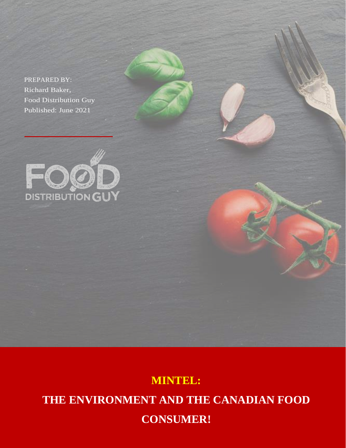PREPARED BY: Richard Baker, Food Distribution Guy Published: June 2021



# **MINTEL: THE ENVIRONMENT AND THE CANADIAN FOOD CONSUMER!**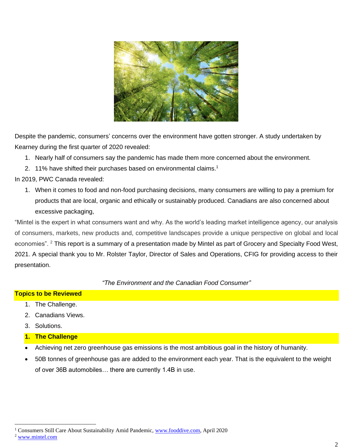

Despite the pandemic, consumers' concerns over the environment have gotten stronger. A study undertaken by Kearney during the first quarter of 2020 revealed:

- 1. Nearly half of consumers say the pandemic has made them more concerned about the environment.
- 2. 11% have shifted their purchases based on environmental claims.<sup>1</sup>

In 2019, PWC Canada revealed:

1. When it comes to food and non-food purchasing decisions, many consumers are willing to pay a premium for products that are local, organic and ethically or sustainably produced. Canadians are also concerned about excessive packaging,

"Mintel is the expert in what consumers want and why. As the world's leading market intelligence agency, our analysis of consumers, markets, new products and, competitive landscapes provide a unique perspective on global and local economies". <sup>2</sup> This report is a summary of a presentation made by Mintel as part of Grocery and Specialty Food West, 2021. A special thank you to Mr. Rolster Taylor, Director of Sales and Operations, CFIG for providing access to their presentation.

*"The Environment and the Canadian Food Consumer"*

### **Topics to be Reviewed**

- 1. The Challenge.
- 2. Canadians Views.
- 3. Solutions.

### **1. The Challenge**

- Achieving net zero greenhouse gas emissions is the most ambitious goal in the history of humanity.
- 50B tonnes of greenhouse gas are added to the environment each year. That is the equivalent to the weight of over 36B automobiles… there are currently 1.4B in use.

<sup>&</sup>lt;sup>1</sup> Consumers Still Care About Sustainability Amid Pandemic, [www.fooddive.com,](http://www.fooddive.com/) April 2020

<sup>2</sup> [www.mintel.com](http://www.mintel.com/)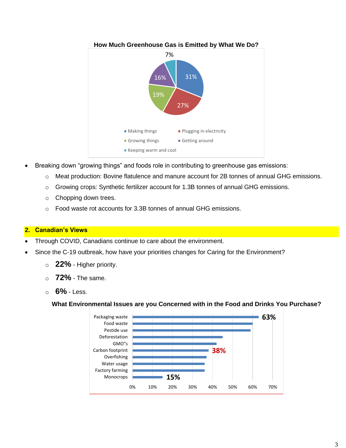

- Breaking down "growing things" and foods role in contributing to greenhouse gas emissions:
	- o Meat production: Bovine flatulence and manure account for 2B tonnes of annual GHG emissions.
	- o Growing crops: Synthetic fertilizer account for 1.3B tonnes of annual GHG emissions.
	- o Chopping down trees.
	- o Food waste rot accounts for 3.3B tonnes of annual GHG emissions.

## **2. Canadian's Views**

- Through COVID, Canadians continue to care about the environment.
- Since the C-19 outbreak, how have your priorities changes for Caring for the Environment?
	- o **22%** Higher priority.
	- o **72%** The same.
	- o **6%** Less.

# **What Environmental Issues are you Concerned with in the Food and Drinks You Purchase?**

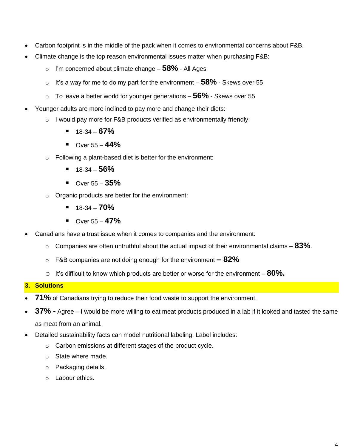- Carbon footprint is in the middle of the pack when it comes to environmental concerns about F&B.
- Climate change is the top reason environmental issues matter when purchasing F&B:
	- o I'm concerned about climate change **58%** All Ages
	- o It's a way for me to do my part for the environment **58%** Skews over 55
	- o To leave a better world for younger generations **56%** Skews over 55
- Younger adults are more inclined to pay more and change their diets:
	- $\circ$  I would pay more for F&B products verified as environmentally friendly:
		- 18-34 **67%**
		- Over 55 **44%**
	- o Following a plant-based diet is better for the environment:
		- 18-34 **56%**
		- Over 55 **35%**
	- o Organic products are better for the environment:
		- $\blacksquare$  18-34 **70%**
		- Over 55 **47%**
- Canadians have a trust issue when it comes to companies and the environment:
	- o Companies are often untruthful about the actual impact of their environmental claims **83%**.
	- o F&B companies are not doing enough for the environment **– 82%**
	- o It's difficult to know which products are better or worse for the environment **80%.**

### **3. Solutions**

- **71%** of Canadians trying to reduce their food waste to support the environment.
- **37% -** Agree I would be more willing to eat meat products produced in a lab if it looked and tasted the same as meat from an animal.
- Detailed sustainability facts can model nutritional labeling. Label includes:
	- o Carbon emissions at different stages of the product cycle.
	- o State where made.
	- o Packaging details.
	- o Labour ethics.